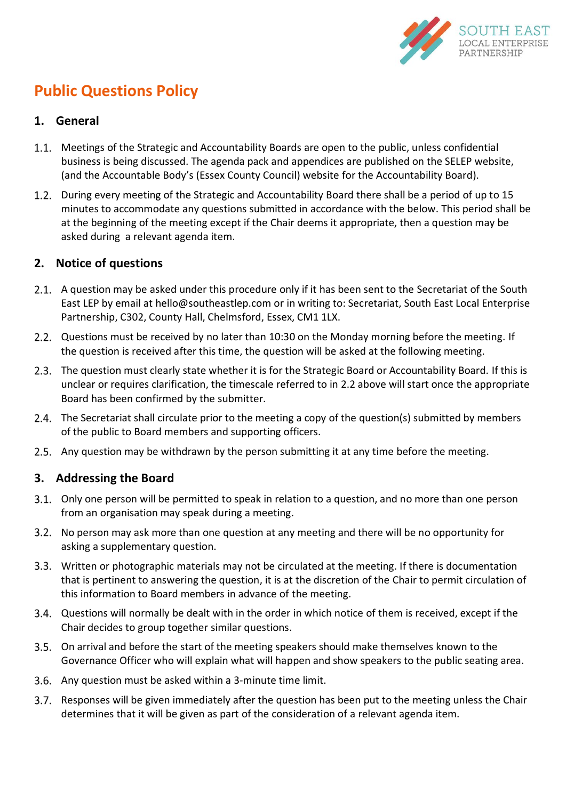

# <span id="page-0-1"></span>**Public Questions Policy**

#### **1. General**

- 1.1. Meetings of the Strategic and Accountability Boards are open to the public, unless confidential business is being discussed. The agenda pack and appendices are published on the SELEP website, (and the Accountable Body's (Essex County Council) website for the Accountability Board).
- During every meeting of the Strategic and Accountability Board there shall be a period of up to 15 minutes to accommodate any questions submitted in accordance with the below. This period shall be at the beginning of the meeting except if the Chair deems it appropriate, then a question may be asked during a relevant agenda item.

#### **2. Notice of questions**

- 2.1. A question may be asked under this procedure only if it has been sent to the Secretariat of the South East LEP by email at hello@southeastlep.com or in writing to: Secretariat, South East Local Enterprise Partnership, C302, County Hall, Chelmsford, Essex, CM1 1LX.
- <span id="page-0-0"></span>2.2. Questions must be received by no later than 10:30 on the Monday morning before the meeting. If the question is received after this time, the question will be asked at the following meeting.
- 2.3. The question must clearly state whether it is for the Strategic Board or Accountability Board. If this is unclear or requires clarification, the timescale referred to in [2.2 above](#page-0-0) will start once the appropriate Board has been confirmed by the submitter.
- 2.4. The Secretariat shall circulate prior to the meeting a copy of the question(s) submitted by members of the public to Board members and supporting officers.
- 2.5. Any question may be withdrawn by the person submitting it at any time before the meeting.

## **3. Addressing the Board**

- Only one person will be permitted to speak in relation to a question, and no more than one person from an organisation may speak during a meeting.
- 3.2. No person may ask more than one question at any meeting and there will be no opportunity for asking a supplementary question.
- Written or photographic materials may not be circulated at the meeting. If there is documentation that is pertinent to answering the question, it is at the discretion of the Chair to permit circulation of this information to Board members in advance of the meeting.
- Questions will normally be dealt with in the order in which notice of them is received, except if the Chair decides to group together similar questions.
- On arrival and before the start of the meeting speakers should make themselves known to the Governance Officer who will explain what will happen and show speakers to the public seating area.
- Any question must be asked within a 3-minute time limit.
- 3.7. Responses will be given immediately after the question has been put to the meeting unless the Chair determines that it will be given as part of the consideration of a relevant agenda item.